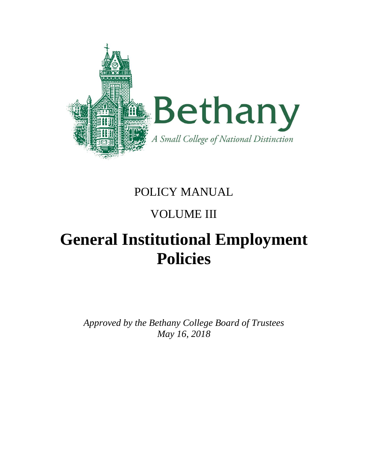

# POLICY MANUAL

# VOLUME III

# **General Institutional Employment Policies**

*Approved by the Bethany College Board of Trustees May 16, 2018*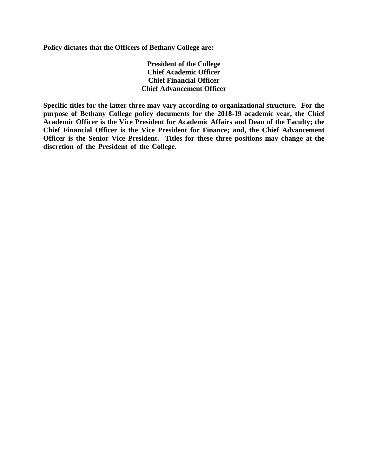**Policy dictates that the Officers of Bethany College are:**

**President of the College Chief Academic Officer Chief Financial Officer Chief Advancement Officer**

**Specific titles for the latter three may vary according to organizational structure. For the purpose of Bethany College policy documents for the 2018-19 academic year, the Chief Academic Officer is the Vice President for Academic Affairs and Dean of the Faculty; the Chief Financial Officer is the Vice President for Finance; and, the Chief Advancement Officer is the Senior Vice President. Titles for these three positions may change at the discretion of the President of the College.……………………………………………………..**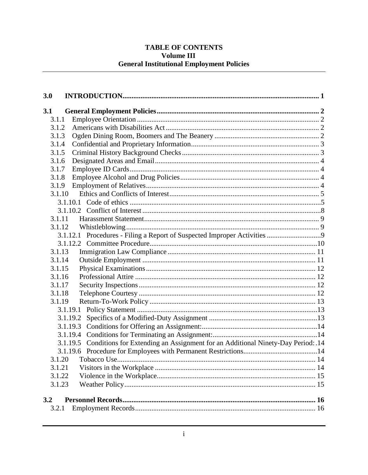#### TABLE OF CONTENTS Volume III **General Institutional Employment Policies**

| 3.0                                                                                      |  |
|------------------------------------------------------------------------------------------|--|
| 3.1                                                                                      |  |
| 3.1.1                                                                                    |  |
| 3.1.2                                                                                    |  |
| 3.1.3                                                                                    |  |
| 3.1.4                                                                                    |  |
| 3.1.5                                                                                    |  |
| 3.1.6                                                                                    |  |
| 3.1.7                                                                                    |  |
| 3.1.8                                                                                    |  |
| 3.1.9                                                                                    |  |
| 3.1.10                                                                                   |  |
|                                                                                          |  |
|                                                                                          |  |
| 3.1.11                                                                                   |  |
|                                                                                          |  |
|                                                                                          |  |
|                                                                                          |  |
| 3.1.13                                                                                   |  |
| 3.1.14                                                                                   |  |
| 3.1.15                                                                                   |  |
| 3.1.16                                                                                   |  |
| 3.1.17                                                                                   |  |
| 3.1.18                                                                                   |  |
| 3.1.19                                                                                   |  |
|                                                                                          |  |
| 3.1.19.2                                                                                 |  |
|                                                                                          |  |
|                                                                                          |  |
| 3.1.19.5 Conditions for Extending an Assignment for an Additional Ninety-Day Period: .14 |  |
| 3.1.20                                                                                   |  |
| 3.1.21                                                                                   |  |
| 3.1.22                                                                                   |  |
| 3.1.23                                                                                   |  |
|                                                                                          |  |
| 3.2                                                                                      |  |
| 3.2.1                                                                                    |  |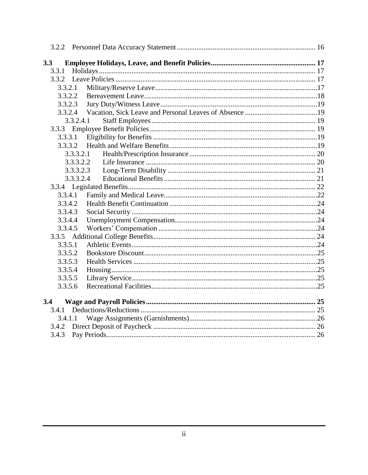| 3.3     |           |  |  |
|---------|-----------|--|--|
| 3.3.1   |           |  |  |
|         |           |  |  |
| 3.3.2.1 |           |  |  |
| 3.3.2.2 |           |  |  |
| 3.3.2.3 |           |  |  |
| 3.3.2.4 |           |  |  |
|         | 3.3.2.4.1 |  |  |
|         |           |  |  |
|         |           |  |  |
|         |           |  |  |
|         | 3.3.3.2.1 |  |  |
|         | 3.3.3.2.2 |  |  |
|         | 3.3.3.2.3 |  |  |
|         | 3.3.3.2.4 |  |  |
|         |           |  |  |
| 3.3.4.1 |           |  |  |
| 3.3.4.2 |           |  |  |
| 3.3.4.3 |           |  |  |
| 3.3.4.4 |           |  |  |
| 3.3.4.5 |           |  |  |
|         |           |  |  |
| 3.3.5.1 |           |  |  |
| 3.3.5.2 |           |  |  |
| 3.3.5.3 |           |  |  |
| 3.3.5.4 |           |  |  |
| 3.3.5.5 |           |  |  |
| 3.3.5.6 |           |  |  |
| 3.4     |           |  |  |
| 3.4.1   |           |  |  |
| 3.4.1.1 |           |  |  |
| 3.4.2   |           |  |  |
| 3.4.3   |           |  |  |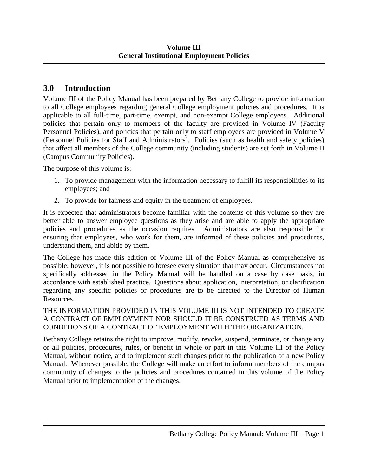# <span id="page-4-0"></span>**3.0 Introduction**

Volume III of the Policy Manual has been prepared by Bethany College to provide information to all College employees regarding general College employment policies and procedures. It is applicable to all full-time, part-time, exempt, and non-exempt College employees. Additional policies that pertain only to members of the faculty are provided in Volume IV (Faculty Personnel Policies), and policies that pertain only to staff employees are provided in Volume V (Personnel Policies for Staff and Administrators). Policies (such as health and safety policies) that affect all members of the College community (including students) are set forth in Volume II (Campus Community Policies).

The purpose of this volume is:

- 1. To provide management with the information necessary to fulfill its responsibilities to its employees; and
- 2. To provide for fairness and equity in the treatment of employees.

It is expected that administrators become familiar with the contents of this volume so they are better able to answer employee questions as they arise and are able to apply the appropriate policies and procedures as the occasion requires. Administrators are also responsible for ensuring that employees, who work for them, are informed of these policies and procedures, understand them, and abide by them.

The College has made this edition of Volume III of the Policy Manual as comprehensive as possible; however, it is not possible to foresee every situation that may occur. Circumstances not specifically addressed in the Policy Manual will be handled on a case by case basis, in accordance with established practice. Questions about application, interpretation, or clarification regarding any specific policies or procedures are to be directed to the Director of Human Resources.

#### THE INFORMATION PROVIDED IN THIS VOLUME III IS NOT INTENDED TO CREATE A CONTRACT OF EMPLOYMENT NOR SHOULD IT BE CONSTRUED AS TERMS AND CONDITIONS OF A CONTRACT OF EMPLOYMENT WITH THE ORGANIZATION.

Bethany College retains the right to improve, modify, revoke, suspend, terminate, or change any or all policies, procedures, rules, or benefit in whole or part in this Volume III of the Policy Manual, without notice, and to implement such changes prior to the publication of a new Policy Manual. Whenever possible, the College will make an effort to inform members of the campus community of changes to the policies and procedures contained in this volume of the Policy Manual prior to implementation of the changes.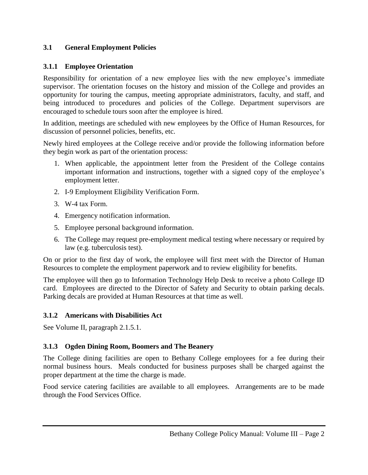#### <span id="page-5-0"></span>**3.1 General Employment Policies**

#### <span id="page-5-1"></span>**3.1.1 Employee Orientation**

Responsibility for orientation of a new employee lies with the new employee's immediate supervisor. The orientation focuses on the history and mission of the College and provides an opportunity for touring the campus, meeting appropriate administrators, faculty, and staff, and being introduced to procedures and policies of the College. Department supervisors are encouraged to schedule tours soon after the employee is hired.

In addition, meetings are scheduled with new employees by the Office of Human Resources, for discussion of personnel policies, benefits, etc.

Newly hired employees at the College receive and/or provide the following information before they begin work as part of the orientation process:

- 1. When applicable, the appointment letter from the President of the College contains important information and instructions, together with a signed copy of the employee's employment letter.
- 2. I-9 Employment Eligibility Verification Form.
- 3. W-4 tax Form.
- 4. Emergency notification information.
- 5. Employee personal background information.
- 6. The College may request pre-employment medical testing where necessary or required by law (e.g. tuberculosis test).

On or prior to the first day of work, the employee will first meet with the Director of Human Resources to complete the employment paperwork and to review eligibility for benefits.

The employee will then go to Information Technology Help Desk to receive a photo College ID card. Employees are directed to the Director of Safety and Security to obtain parking decals. Parking decals are provided at Human Resources at that time as well.

#### <span id="page-5-2"></span>**3.1.2 Americans with Disabilities Act**

See Volume II, paragraph 2.1.5.1.

#### <span id="page-5-3"></span>**3.1.3 Ogden Dining Room, Boomers and The Beanery**

The College dining facilities are open to Bethany College employees for a fee during their normal business hours. Meals conducted for business purposes shall be charged against the proper department at the time the charge is made.

Food service catering facilities are available to all employees. Arrangements are to be made through the Food Services Office.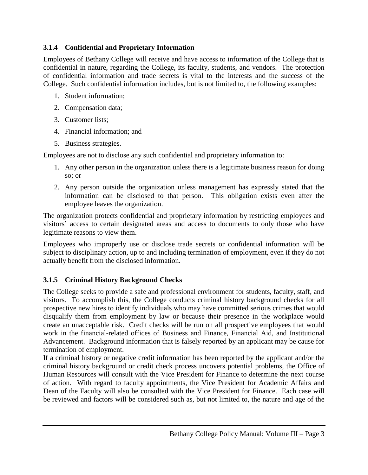#### <span id="page-6-0"></span>**3.1.4 Confidential and Proprietary Information**

Employees of Bethany College will receive and have access to information of the College that is confidential in nature, regarding the College, its faculty, students, and vendors. The protection of confidential information and trade secrets is vital to the interests and the success of the College. Such confidential information includes, but is not limited to, the following examples:

- 1. Student information;
- 2. Compensation data;
- 3. Customer lists;
- 4. Financial information; and
- 5. Business strategies.

Employees are not to disclose any such confidential and proprietary information to:

- 1. Any other person in the organization unless there is a legitimate business reason for doing so; or
- 2. Any person outside the organization unless management has expressly stated that the information can be disclosed to that person. This obligation exists even after the employee leaves the organization.

The organization protects confidential and proprietary information by restricting employees and visitors' access to certain designated areas and access to documents to only those who have legitimate reasons to view them.

Employees who improperly use or disclose trade secrets or confidential information will be subject to disciplinary action, up to and including termination of employment, even if they do not actually benefit from the disclosed information.

#### <span id="page-6-1"></span>**3.1.5 Criminal History Background Checks**

The College seeks to provide a safe and professional environment for students, faculty, staff, and visitors. To accomplish this, the College conducts criminal history background checks for all prospective new hires to identify individuals who may have committed serious crimes that would disqualify them from employment by law or because their presence in the workplace would create an unacceptable risk. Credit checks will be run on all prospective employees that would work in the financial-related offices of Business and Finance, Financial Aid, and Institutional Advancement. Background information that is falsely reported by an applicant may be cause for termination of employment.

If a criminal history or negative credit information has been reported by the applicant and/or the criminal history background or credit check process uncovers potential problems, the Office of Human Resources will consult with the Vice President for Finance to determine the next course of action. With regard to faculty appointments, the Vice President for Academic Affairs and Dean of the Faculty will also be consulted with the Vice President for Finance. Each case will be reviewed and factors will be considered such as, but not limited to, the nature and age of the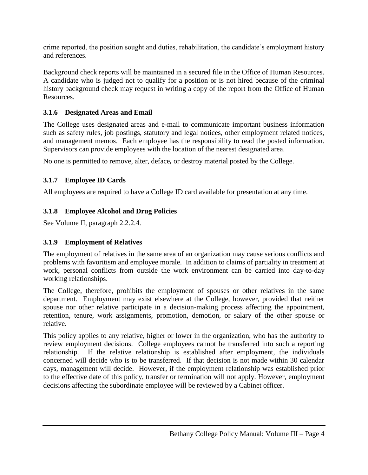crime reported, the position sought and duties, rehabilitation, the candidate's employment history and references.

Background check reports will be maintained in a secured file in the Office of Human Resources. A candidate who is judged not to qualify for a position or is not hired because of the criminal history background check may request in writing a copy of the report from the Office of Human Resources.

#### <span id="page-7-0"></span>**3.1.6 Designated Areas and Email**

The College uses designated areas and e-mail to communicate important business information such as safety rules, job postings, statutory and legal notices, other employment related notices, and management memos. Each employee has the responsibility to read the posted information. Supervisors can provide employees with the location of the nearest designated area.

No one is permitted to remove, alter, deface*,* or destroy material posted by the College.

#### <span id="page-7-1"></span>**3.1.7 Employee ID Cards**

All employees are required to have a College ID card available for presentation at any time.

#### <span id="page-7-2"></span>**3.1.8 Employee Alcohol and Drug Policies**

See Volume II, paragraph 2.2.2.4.

#### <span id="page-7-3"></span>**3.1.9 Employment of Relatives**

The employment of relatives in the same area of an organization may cause serious conflicts and problems with favoritism and employee morale. In addition to claims of partiality in treatment at work, personal conflicts from outside the work environment can be carried into day-to-day working relationships.

The College, therefore, prohibits the employment of spouses or other relatives in the same department. Employment may exist elsewhere at the College, however, provided that neither spouse nor other relative participate in a decision-making process affecting the appointment, retention, tenure, work assignments, promotion, demotion, or salary of the other spouse or relative.

This policy applies to any relative, higher or lower in the organization, who has the authority to review employment decisions. College employees cannot be transferred into such a reporting relationship. If the relative relationship is established after employment, the individuals concerned will decide who is to be transferred. If that decision is not made within 30 calendar days, management will decide. However, if the employment relationship was established prior to the effective date of this policy, transfer or termination will not apply. However, employment decisions affecting the subordinate employee will be reviewed by a Cabinet officer.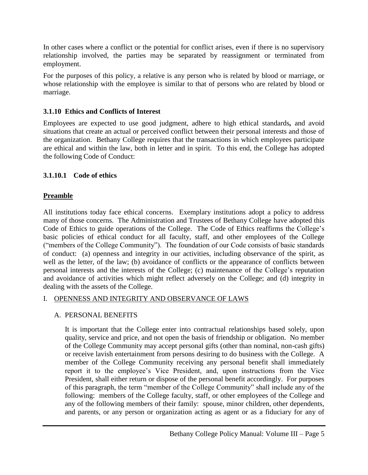In other cases where a conflict or the potential for conflict arises, even if there is no supervisory relationship involved, the parties may be separated by reassignment or terminated from employment.

For the purposes of this policy, a relative is any person who is related by blood or marriage, or whose relationship with the employee is similar to that of persons who are related by blood or marriage.

#### <span id="page-8-0"></span>**3.1.10 Ethics and Conflicts of Interest**

Employees are expected to use good judgment, adhere to high ethical standards*,* and avoid situations that create an actual or perceived conflict between their personal interests and those of the organization. Bethany College requires that the transactions in which employees participate are ethical and within the law, both in letter and in spirit. To this end, the College has adopted the following Code of Conduct:

#### <span id="page-8-1"></span>**3.1.10.1 Code of ethics**

#### **Preamble**

All institutions today face ethical concerns. Exemplary institutions adopt a policy to address many of those concerns. The Administration and Trustees of Bethany College have adopted this Code of Ethics to guide operations of the College. The Code of Ethics reaffirms the College's basic policies of ethical conduct for all faculty, staff, and other employees of the College ("members of the College Community"). The foundation of our Code consists of basic standards of conduct: (a) openness and integrity in our activities, including observance of the spirit, as well as the letter, of the law; (b) avoidance of conflicts or the appearance of conflicts between personal interests and the interests of the College; (c) maintenance of the College's reputation and avoidance of activities which might reflect adversely on the College; and (d) integrity in dealing with the assets of the College.

#### I. OPENNESS AND INTEGRITY AND OBSERVANCE OF LAWS

#### A. PERSONAL BENEFITS

It is important that the College enter into contractual relationships based solely, upon quality, service and price, and not open the basis of friendship or obligation. No member of the College Community may accept personal gifts (other than nominal, non-cash gifts) or receive lavish entertainment from persons desiring to do business with the College. A member of the College Community receiving any personal benefit shall immediately report it to the employee's Vice President, and, upon instructions from the Vice President, shall either return or dispose of the personal benefit accordingly. For purposes of this paragraph, the term "member of the College Community" shall include any of the following: members of the College faculty, staff, or other employees of the College and any of the following members of their family: spouse, minor children, other dependents, and parents, or any person or organization acting as agent or as a fiduciary for any of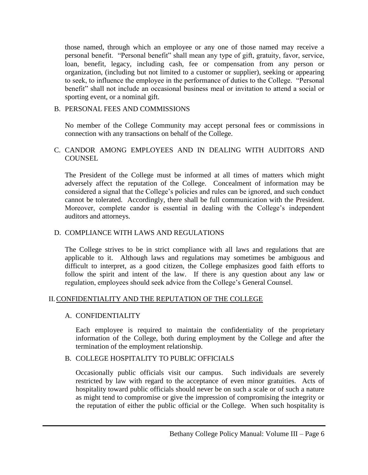those named, through which an employee or any one of those named may receive a personal benefit. "Personal benefit" shall mean any type of gift, gratuity, favor, service, loan, benefit, legacy, including cash, fee or compensation from any person or organization, (including but not limited to a customer or supplier), seeking or appearing to seek, to influence the employee in the performance of duties to the College. "Personal benefit" shall not include an occasional business meal or invitation to attend a social or sporting event, or a nominal gift.

#### B. PERSONAL FEES AND COMMISSIONS

No member of the College Community may accept personal fees or commissions in connection with any transactions on behalf of the College.

#### C. CANDOR AMONG EMPLOYEES AND IN DEALING WITH AUDITORS AND **COUNSEL**

The President of the College must be informed at all times of matters which might adversely affect the reputation of the College. Concealment of information may be considered a signal that the College's policies and rules can be ignored, and such conduct cannot be tolerated. Accordingly, there shall be full communication with the President. Moreover, complete candor is essential in dealing with the College's independent auditors and attorneys.

#### D. COMPLIANCE WITH LAWS AND REGULATIONS

The College strives to be in strict compliance with all laws and regulations that are applicable to it. Although laws and regulations may sometimes be ambiguous and difficult to interpret, as a good citizen, the College emphasizes good faith efforts to follow the spirit and intent of the law. If there is any question about any law or regulation, employees should seek advice from the College's General Counsel.

#### II.CONFIDENTIALITY AND THE REPUTATION OF THE COLLEGE

#### A. CONFIDENTIALITY

Each employee is required to maintain the confidentiality of the proprietary information of the College, both during employment by the College and after the termination of the employment relationship.

#### B. COLLEGE HOSPITALITY TO PUBLIC OFFICIALS

Occasionally public officials visit our campus. Such individuals are severely restricted by law with regard to the acceptance of even minor gratuities. Acts of hospitality toward public officials should never be on such a scale or of such a nature as might tend to compromise or give the impression of compromising the integrity or the reputation of either the public official or the College. When such hospitality is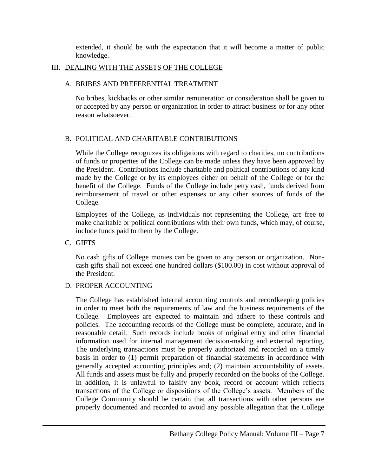extended, it should be with the expectation that it will become a matter of public knowledge.

#### III. DEALING WITH THE ASSETS OF THE COLLEGE

#### A. BRIBES AND PREFERENTIAL TREATMENT

No bribes, kickbacks or other similar remuneration or consideration shall be given to or accepted by any person or organization in order to attract business or for any other reason whatsoever.

#### B. POLITICAL AND CHARITABLE CONTRIBUTIONS

While the College recognizes its obligations with regard to charities, no contributions of funds or properties of the College can be made unless they have been approved by the President. Contributions include charitable and political contributions of any kind made by the College or by its employees either on behalf of the College or for the benefit of the College. Funds of the College include petty cash, funds derived from reimbursement of travel or other expenses or any other sources of funds of the College.

Employees of the College, as individuals not representing the College, are free to make charitable or political contributions with their own funds, which may, of course, include funds paid to them by the College.

#### C. GIFTS

No cash gifts of College monies can be given to any person or organization. Noncash gifts shall not exceed one hundred dollars (\$100.00) in cost without approval of the President.

#### D. PROPER ACCOUNTING

The College has established internal accounting controls and recordkeeping policies in order to meet both the requirements of law and the business requirements of the College. Employees are expected to maintain and adhere to these controls and policies. The accounting records of the College must be complete, accurate, and in reasonable detail. Such records include books of original entry and other financial information used for internal management decision-making and external reporting. The underlying transactions must be properly authorized and recorded on a timely basis in order to (1) permit preparation of financial statements in accordance with generally accepted accounting principles and; (2) maintain accountability of assets. All funds and assets must be fully and properly recorded on the books of the College. In addition, it is unlawful to falsify any book, record or account which reflects transactions of the College or dispositions of the College's assets. Members of the College Community should be certain that all transactions with other persons are properly documented and recorded to avoid any possible allegation that the College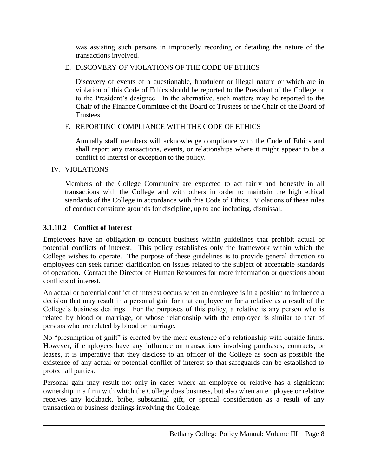was assisting such persons in improperly recording or detailing the nature of the transactions involved.

#### E. DISCOVERY OF VIOLATIONS OF THE CODE OF ETHICS

Discovery of events of a questionable, fraudulent or illegal nature or which are in violation of this Code of Ethics should be reported to the President of the College or to the President's designee. In the alternative, such matters may be reported to the Chair of the Finance Committee of the Board of Trustees or the Chair of the Board of Trustees.

#### F. REPORTING COMPLIANCE WITH THE CODE OF ETHICS

Annually staff members will acknowledge compliance with the Code of Ethics and shall report any transactions, events, or relationships where it might appear to be a conflict of interest or exception to the policy.

#### IV. VIOLATIONS

Members of the College Community are expected to act fairly and honestly in all transactions with the College and with others in order to maintain the high ethical standards of the College in accordance with this Code of Ethics. Violations of these rules of conduct constitute grounds for discipline, up to and including, dismissal.

# <span id="page-11-0"></span>**3.1.10.2 Conflict of Interest**

Employees have an obligation to conduct business within guidelines that prohibit actual or potential conflicts of interest. This policy establishes only the framework within which the College wishes to operate. The purpose of these guidelines is to provide general direction so employees can seek further clarification on issues related to the subject of acceptable standards of operation. Contact the Director of Human Resources for more information or questions about conflicts of interest.

An actual or potential conflict of interest occurs when an employee is in a position to influence a decision that may result in a personal gain for that employee or for a relative as a result of the College's business dealings. For the purposes of this policy, a relative is any person who is related by blood or marriage, or whose relationship with the employee is similar to that of persons who are related by blood or marriage.

No "presumption of guilt" is created by the mere existence of a relationship with outside firms. However, if employees have any influence on transactions involving purchases, contracts, or leases, it is imperative that they disclose to an officer of the College as soon as possible the existence of any actual or potential conflict of interest so that safeguards can be established to protect all parties.

Personal gain may result not only in cases where an employee or relative has a significant ownership in a firm with which the College does business, but also when an employee or relative receives any kickback, bribe, substantial gift, or special consideration as a result of any transaction or business dealings involving the College.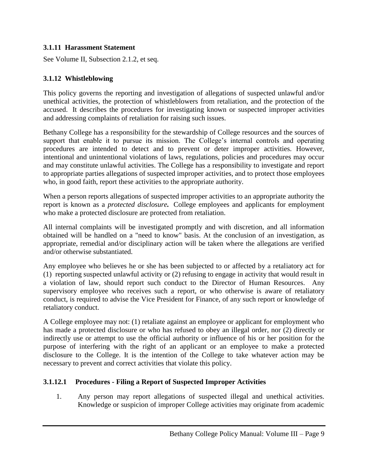#### <span id="page-12-0"></span>**3.1.11 Harassment Statement**

See Volume II, Subsection 2.1.2, et seq.

#### <span id="page-12-1"></span>**3.1.12 Whistleblowing**

This policy governs the reporting and investigation of allegations of suspected unlawful and/or unethical activities, the protection of whistleblowers from retaliation, and the protection of the accused. It describes the procedures for investigating known or suspected improper activities and addressing complaints of retaliation for raising such issues.

Bethany College has a responsibility for the stewardship of College resources and the sources of support that enable it to pursue its mission. The College's internal controls and operating procedures are intended to detect and to prevent or deter improper activities. However, intentional and unintentional violations of laws, regulations, policies and procedures may occur and may constitute unlawful activities. The College has a responsibility to investigate and report to appropriate parties allegations of suspected improper activities, and to protect those employees who, in good faith, report these activities to the appropriate authority.

When a person reports allegations of suspected improper activities to an appropriate authority the report is known as a *protected disclosure.* College employees and applicants for employment who make a protected disclosure are protected from retaliation.

All internal complaints will be investigated promptly and with discretion, and all information obtained will be handled on a "need to know" basis. At the conclusion of an investigation, as appropriate, remedial and/or disciplinary action will be taken where the allegations are verified and/or otherwise substantiated.

Any employee who believes he or she has been subjected to or affected by a retaliatory act for (1) reporting suspected unlawful activity or (2) refusing to engage in activity that would result in a violation of law, should report such conduct to the Director of Human Resources. Any supervisory employee who receives such a report, or who otherwise is aware of retaliatory conduct, is required to advise the Vice President for Finance, of any such report or knowledge of retaliatory conduct.

A College employee may not: (1) retaliate against an employee or applicant for employment who has made a protected disclosure or who has refused to obey an illegal order, nor (2) directly or indirectly use or attempt to use the official authority or influence of his or her position for the purpose of interfering with the right of an applicant or an employee to make a protected disclosure to the College. It is the intention of the College to take whatever action may be necessary to prevent and correct activities that violate this policy.

#### **3.1.12.1 Procedures - Filing a Report of Suspected Improper Activities**

<span id="page-12-2"></span>1. Any person may report allegations of suspected illegal and unethical activities. Knowledge or suspicion of improper College activities may originate from academic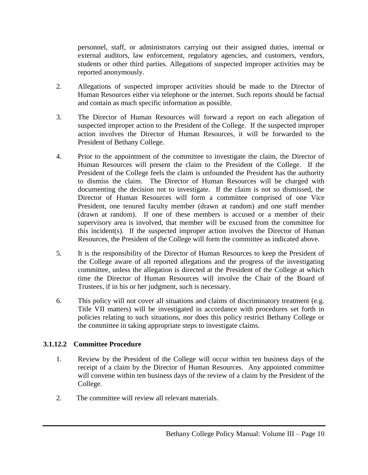personnel, staff, or administrators carrying out their assigned duties, internal or external auditors, law enforcement, regulatory agencies, and customers, vendors, students or other third parties. Allegations of suspected improper activities may be reported anonymously.

- 2. Allegations of suspected improper activities should be made to the Director of Human Resources either via telephone or the internet. Such reports should be factual and contain as much specific information as possible.
- 3. The Director of Human Resources will forward a report on each allegation of suspected improper action to the President of the College. If the suspected improper action involves the Director of Human Resources, it will be forwarded to the President of Bethany College.
- 4. Prior to the appointment of the committee to investigate the claim, the Director of Human Resources will present the claim to the President of the College. If the President of the College feels the claim is unfounded the President has the authority to dismiss the claim. The Director of Human Resources will be charged with documenting the decision not to investigate. If the claim is not so dismissed, the Director of Human Resources will form a committee comprised of one Vice President, one tenured faculty member (drawn at random) and one staff member (drawn at random). If one of these members is accused or a member of their supervisory area is involved, that member will be excused from the committee for this incident(s). If the suspected improper action involves the Director of Human Resources, the President of the College will form the committee as indicated above.
- 5. It is the responsibility of the Director of Human Resources to keep the President of the College aware of all reported allegations and the progress of the investigating committee, unless the allegation is directed at the President of the College at which time the Director of Human Resources will involve the Chair of the Board of Trustees, if in his or her judgment, such is necessary.
- 6. This policy will not cover all situations and claims of discriminatory treatment (e.g. Title VII matters) will be investigated in accordance with procedures set forth in policies relating to such situations, nor does this policy restrict Bethany College or the committee in taking appropriate steps to investigate claims.

#### <span id="page-13-0"></span>**3.1.12.2 Committee Procedure**

- 1. Review by the President of the College will occur within ten business days of the receipt of a claim by the Director of Human Resources. Any appointed committee will convene within ten business days of the review of a claim by the President of the College.
- 2. The committee will review all relevant materials.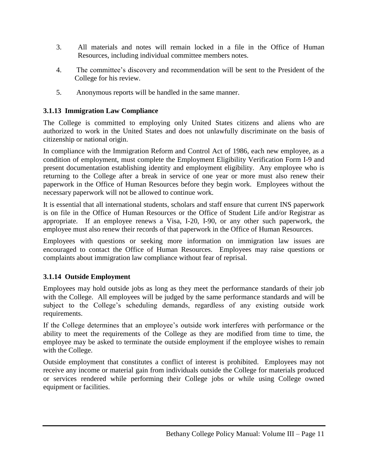- 3. All materials and notes will remain locked in a file in the Office of Human Resources, including individual committee members notes.
- 4. The committee's discovery and recommendation will be sent to the President of the College for his review.
- 5. Anonymous reports will be handled in the same manner.

#### <span id="page-14-0"></span>**3.1.13 Immigration Law Compliance**

The College is committed to employing only United States citizens and aliens who are authorized to work in the United States and does not unlawfully discriminate on the basis of citizenship or national origin.

In compliance with the Immigration Reform and Control Act of 1986, each new employee, as a condition of employment, must complete the Employment Eligibility Verification Form I-9 and present documentation establishing identity and employment eligibility. Any employee who is returning to the College after a break in service of one year or more must also renew their paperwork in the Office of Human Resources before they begin work. Employees without the necessary paperwork will not be allowed to continue work.

It is essential that all international students, scholars and staff ensure that current INS paperwork is on file in the Office of Human Resources or the Office of Student Life and/or Registrar as appropriate. If an employee renews a Visa, I-20, I-90, or any other such paperwork, the employee must also renew their records of that paperwork in the Office of Human Resources.

Employees with questions or seeking more information on immigration law issues are encouraged to contact the Office of Human Resources. Employees may raise questions or complaints about immigration law compliance without fear of reprisal.

#### <span id="page-14-1"></span>**3.1.14 Outside Employment**

Employees may hold outside jobs as long as they meet the performance standards of their job with the College. All employees will be judged by the same performance standards and will be subject to the College's scheduling demands, regardless of any existing outside work requirements.

If the College determines that an employee's outside work interferes with performance or the ability to meet the requirements of the College as they are modified from time to time, the employee may be asked to terminate the outside employment if the employee wishes to remain with the College.

Outside employment that constitutes a conflict of interest is prohibited. Employees may not receive any income or material gain from individuals outside the College for materials produced or services rendered while performing their College jobs or while using College owned equipment or facilities.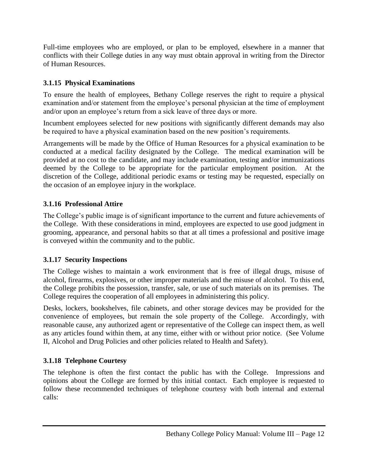Full-time employees who are employed, or plan to be employed, elsewhere in a manner that conflicts with their College duties in any way must obtain approval in writing from the Director of Human Resources.

#### <span id="page-15-0"></span>**3.1.15 Physical Examinations**

To ensure the health of employees, Bethany College reserves the right to require a physical examination and/or statement from the employee's personal physician at the time of employment and/or upon an employee's return from a sick leave of three days or more.

Incumbent employees selected for new positions with significantly different demands may also be required to have a physical examination based on the new position's requirements.

Arrangements will be made by the Office of Human Resources for a physical examination to be conducted at a medical facility designated by the College. The medical examination will be provided at no cost to the candidate, and may include examination, testing and/or immunizations deemed by the College to be appropriate for the particular employment position. At the discretion of the College, additional periodic exams or testing may be requested, especially on the occasion of an employee injury in the workplace.

# <span id="page-15-1"></span>**3.1.16 Professional Attire**

The College's public image is of significant importance to the current and future achievements of the College. With these considerations in mind, employees are expected to use good judgment in grooming, appearance, and personal habits so that at all times a professional and positive image is conveyed within the community and to the public.

#### <span id="page-15-2"></span>**3.1.17 Security Inspections**

The College wishes to maintain a work environment that is free of illegal drugs, misuse of alcohol, firearms, explosives, or other improper materials and the misuse of alcohol. To this end, the College prohibits the possession, transfer, sale, or use of such materials on its premises. The College requires the cooperation of all employees in administering this policy.

Desks, lockers, bookshelves, file cabinets, and other storage devices may be provided for the convenience of employees, but remain the sole property of the College. Accordingly, with reasonable cause, any authorized agent or representative of the College can inspect them, as well as any articles found within them, at any time, either with or without prior notice. (See Volume II, Alcohol and Drug Policies and other policies related to Health and Safety).

# <span id="page-15-3"></span>**3.1.18 Telephone Courtesy**

The telephone is often the first contact the public has with the College. Impressions and opinions about the College are formed by this initial contact. Each employee is requested to follow these recommended techniques of telephone courtesy with both internal and external calls: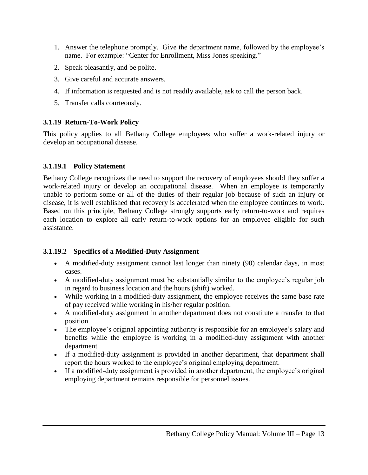- 1. Answer the telephone promptly. Give the department name, followed by the employee's name. For example: "Center for Enrollment, Miss Jones speaking."
- 2. Speak pleasantly, and be polite.
- 3. Give careful and accurate answers.
- 4. If information is requested and is not readily available, ask to call the person back.
- 5. Transfer calls courteously.

#### <span id="page-16-0"></span>**3.1.19 Return-To-Work Policy**

This policy applies to all Bethany College employees who suffer a work-related injury or develop an occupational disease.

#### <span id="page-16-1"></span>**3.1.19.1 Policy Statement**

Bethany College recognizes the need to support the recovery of employees should they suffer a work-related injury or develop an occupational disease. When an employee is temporarily unable to perform some or all of the duties of their regular job because of such an injury or disease, it is well established that recovery is accelerated when the employee continues to work. Based on this principle, Bethany College strongly supports early return-to-work and requires each location to explore all early return-to-work options for an employee eligible for such assistance.

#### <span id="page-16-2"></span>**3.1.19.2 Specifics of a Modified-Duty Assignment**

- A modified-duty assignment cannot last longer than ninety (90) calendar days, in most cases.
- A modified-duty assignment must be substantially similar to the employee's regular job in regard to business location and the hours (shift) worked.
- While working in a modified-duty assignment, the employee receives the same base rate of pay received while working in his/her regular position.
- A modified-duty assignment in another department does not constitute a transfer to that position.
- The employee's original appointing authority is responsible for an employee's salary and benefits while the employee is working in a modified-duty assignment with another department.
- If a modified-duty assignment is provided in another department, that department shall report the hours worked to the employee's original employing department.
- If a modified-duty assignment is provided in another department, the employee's original employing department remains responsible for personnel issues.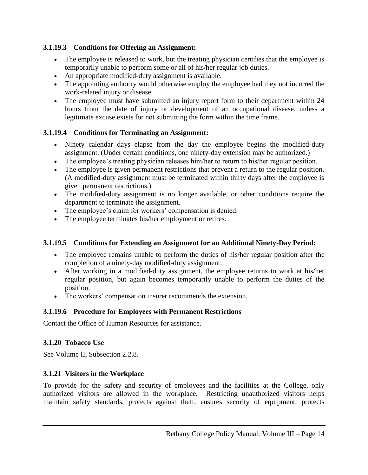#### <span id="page-17-0"></span>**3.1.19.3 Conditions for Offering an Assignment:**

- The employee is released to work, but the treating physician certifies that the employee is temporarily unable to perform some or all of his/her regular job duties.
- An appropriate modified-duty assignment is available.
- The appointing authority would otherwise employ the employee had they not incurred the work-related injury or disease.
- The employee must have submitted an injury report form to their department within 24 hours from the date of injury or development of an occupational disease, unless a legitimate excuse exists for not submitting the form within the time frame.

#### <span id="page-17-1"></span>**3.1.19.4 Conditions for Terminating an Assignment:**

- Ninety calendar days elapse from the day the employee begins the modified-duty assignment. (Under certain conditions, one ninety-day extension may be authorized.)
- The employee's treating physician releases him/her to return to his/her regular position.
- The employee is given permanent restrictions that prevent a return to the regular position. (A modified-duty assignment must be terminated within thirty days after the employee is given permanent restrictions.)
- The modified-duty assignment is no longer available, or other conditions require the department to terminate the assignment.
- The employee's claim for workers' compensation is denied.
- The employee terminates his/her employment or retires.

#### <span id="page-17-2"></span>**3.1.19.5 Conditions for Extending an Assignment for an Additional Ninety-Day Period:**

- The employee remains unable to perform the duties of his/her regular position after the completion of a ninety-day modified-duty assignment.
- After working in a modified-duty assignment, the employee returns to work at his/her regular position, but again becomes temporarily unable to perform the duties of the position.
- The workers' compensation insurer recommends the extension.

#### <span id="page-17-3"></span>**3.1.19.6 Procedure for Employees with Permanent Restrictions**

Contact the Office of Human Resources for assistance.

#### <span id="page-17-4"></span>**3.1.20 Tobacco Use**

See Volume II, Subsection 2.2.8.

#### <span id="page-17-5"></span>**3.1.21 Visitors in the Workplace**

To provide for the safety and security of employees and the facilities at the College, only authorized visitors are allowed in the workplace. Restricting unauthorized visitors helps maintain safety standards, protects against theft, ensures security of equipment, protects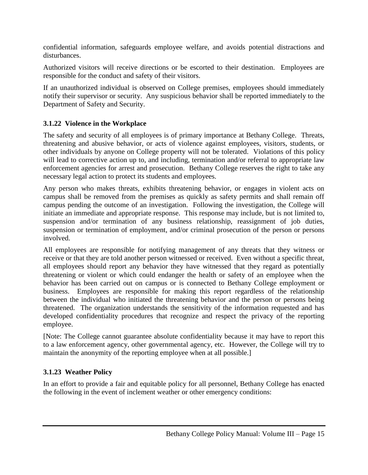confidential information, safeguards employee welfare, and avoids potential distractions and disturbances.

Authorized visitors will receive directions or be escorted to their destination. Employees are responsible for the conduct and safety of their visitors.

If an unauthorized individual is observed on College premises, employees should immediately notify their supervisor or security. Any suspicious behavior shall be reported immediately to the Department of Safety and Security.

#### <span id="page-18-0"></span>**3.1.22 Violence in the Workplace**

The safety and security of all employees is of primary importance at Bethany College. Threats, threatening and abusive behavior, or acts of violence against employees, visitors, students, or other individuals by anyone on College property will not be tolerated. Violations of this policy will lead to corrective action up to, and including, termination and/or referral to appropriate law enforcement agencies for arrest and prosecution. Bethany College reserves the right to take any necessary legal action to protect its students and employees.

Any person who makes threats, exhibits threatening behavior, or engages in violent acts on campus shall be removed from the premises as quickly as safety permits and shall remain off campus pending the outcome of an investigation. Following the investigation, the College will initiate an immediate and appropriate response. This response may include, but is not limited to, suspension and/or termination of any business relationship, reassignment of job duties, suspension or termination of employment, and/or criminal prosecution of the person or persons involved.

All employees are responsible for notifying management of any threats that they witness or receive or that they are told another person witnessed or received. Even without a specific threat, all employees should report any behavior they have witnessed that they regard as potentially threatening or violent or which could endanger the health or safety of an employee when the behavior has been carried out on campus or is connected to Bethany College employment or business. Employees are responsible for making this report regardless of the relationship between the individual who initiated the threatening behavior and the person or persons being threatened. The organization understands the sensitivity of the information requested and has developed confidentiality procedures that recognize and respect the privacy of the reporting employee.

[Note: The College cannot guarantee absolute confidentiality because it may have to report this to a law enforcement agency, other governmental agency, etc. However, the College will try to maintain the anonymity of the reporting employee when at all possible.]

# <span id="page-18-1"></span>**3.1.23 Weather Policy**

In an effort to provide a fair and equitable policy for all personnel, Bethany College has enacted the following in the event of inclement weather or other emergency conditions: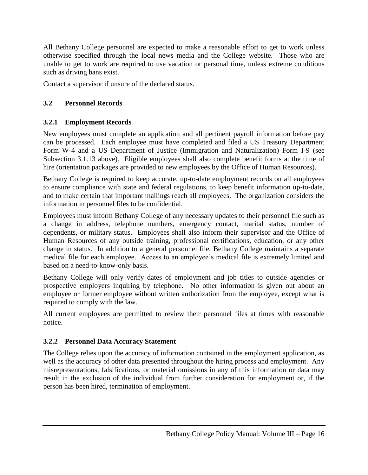All Bethany College personnel are expected to make a reasonable effort to get to work unless otherwise specified through the local news media and the College website. Those who are unable to get to work are required to use vacation or personal time, unless extreme conditions such as driving bans exist.

Contact a supervisor if unsure of the declared status.

#### <span id="page-19-0"></span>**3.2 Personnel Records**

#### <span id="page-19-1"></span>**3.2.1 Employment Records**

New employees must complete an application and all pertinent payroll information before pay can be processed. Each employee must have completed and filed a US Treasury Department Form W-4 and a US Department of Justice (Immigration and Naturalization) Form I-9 (see Subsection 3.1.13 above). Eligible employees shall also complete benefit forms at the time of hire (orientation packages are provided to new employees by the Office of Human Resources).

Bethany College is required to keep accurate, up-to-date employment records on all employees to ensure compliance with state and federal regulations, to keep benefit information up-to-date, and to make certain that important mailings reach all employees. The organization considers the information in personnel files to be confidential.

Employees must inform Bethany College of any necessary updates to their personnel file such as a change in address, telephone numbers, emergency contact, marital status, number of dependents, or military status. Employees shall also inform their supervisor and the Office of Human Resources of any outside training, professional certifications, education, or any other change in status. In addition to a general personnel file, Bethany College maintains a separate medical file for each employee. Access to an employee's medical file is extremely limited and based on a need-to-know-only basis.

Bethany College will only verify dates of employment and job titles to outside agencies or prospective employers inquiring by telephone. No other information is given out about an employee or former employee without written authorization from the employee, except what is required to comply with the law.

All current employees are permitted to review their personnel files at times with reasonable notice.

#### <span id="page-19-2"></span>**3.2.2 Personnel Data Accuracy Statement**

The College relies upon the accuracy of information contained in the employment application, as well as the accuracy of other data presented throughout the hiring process and employment. Any misrepresentations, falsifications, or material omissions in any of this information or data may result in the exclusion of the individual from further consideration for employment or, if the person has been hired, termination of employment.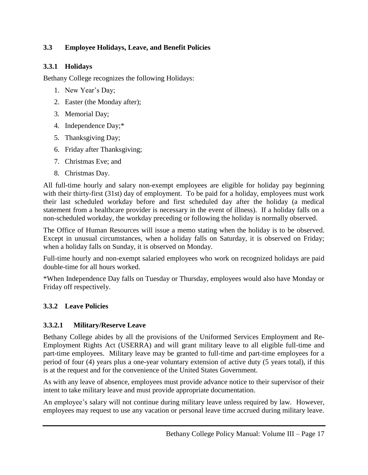#### <span id="page-20-0"></span>**3.3 Employee Holidays, Leave, and Benefit Policies**

#### <span id="page-20-1"></span>**3.3.1 Holidays**

Bethany College recognizes the following Holidays:

- 1. New Year's Day;
- 2. Easter (the Monday after);
- 3. Memorial Day;
- 4. Independence Day;\*
- 5. Thanksgiving Day;
- 6. Friday after Thanksgiving;
- 7. Christmas Eve; and
- 8. Christmas Day.

All full-time hourly and salary non-exempt employees are eligible for holiday pay beginning with their thirty-first (31st) day of employment. To be paid for a holiday, employees must work their last scheduled workday before and first scheduled day after the holiday (a medical statement from a healthcare provider is necessary in the event of illness). If a holiday falls on a non-scheduled workday, the workday preceding or following the holiday is normally observed.

The Office of Human Resources will issue a memo stating when the holiday is to be observed. Except in unusual circumstances, when a holiday falls on Saturday, it is observed on Friday; when a holiday falls on Sunday, it is observed on Monday.

Full-time hourly and non-exempt salaried employees who work on recognized holidays are paid double-time for all hours worked.

\*When Independence Day falls on Tuesday or Thursday, employees would also have Monday or Friday off respectively.

#### <span id="page-20-2"></span>**3.3.2 Leave Policies**

#### <span id="page-20-3"></span>**3.3.2.1 Military/Reserve Leave**

Bethany College abides by all the provisions of the Uniformed Services Employment and Re-Employment Rights Act (USERRA) and will grant military leave to all eligible full-time and part-time employees. Military leave may be granted to full-time and part-time employees for a period of four (4) years plus a one-year voluntary extension of active duty (5 years total), if this is at the request and for the convenience of the United States Government.

As with any leave of absence, employees must provide advance notice to their supervisor of their intent to take military leave and must provide appropriate documentation.

An employee's salary will not continue during military leave unless required by law. However, employees may request to use any vacation or personal leave time accrued during military leave.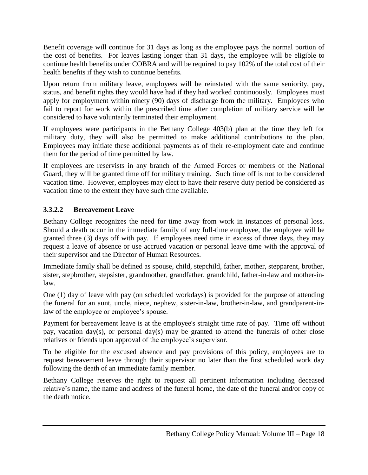Benefit coverage will continue for 31 days as long as the employee pays the normal portion of the cost of benefits. For leaves lasting longer than 31 days, the employee will be eligible to continue health benefits under COBRA and will be required to pay 102% of the total cost of their health benefits if they wish to continue benefits.

Upon return from military leave, employees will be reinstated with the same seniority, pay, status, and benefit rights they would have had if they had worked continuously. Employees must apply for employment within ninety (90) days of discharge from the military. Employees who fail to report for work within the prescribed time after completion of military service will be considered to have voluntarily terminated their employment.

If employees were participants in the Bethany College 403(b) plan at the time they left for military duty, they will also be permitted to make additional contributions to the plan. Employees may initiate these additional payments as of their re-employment date and continue them for the period of time permitted by law.

If employees are reservists in any branch of the Armed Forces or members of the National Guard, they will be granted time off for military training. Such time off is not to be considered vacation time. However, employees may elect to have their reserve duty period be considered as vacation time to the extent they have such time available.

#### <span id="page-21-0"></span>**3.3.2.2 Bereavement Leave**

Bethany College recognizes the need for time away from work in instances of personal loss. Should a death occur in the immediate family of any full-time employee, the employee will be granted three (3) days off with pay. If employees need time in excess of three days, they may request a leave of absence or use accrued vacation or personal leave time with the approval of their supervisor and the Director of Human Resources.

Immediate family shall be defined as spouse, child, stepchild, father, mother, stepparent, brother, sister, stepbrother, stepsister, grandmother, grandfather, grandchild, father-in-law and mother-inlaw.

One (1) day of leave with pay (on scheduled workdays) is provided for the purpose of attending the funeral for an aunt, uncle, niece, nephew, sister-in-law, brother-in-law, and grandparent-inlaw of the employee or employee's spouse.

Payment for bereavement leave is at the employee's straight time rate of pay. Time off without pay, vacation day(s), or personal day(s) may be granted to attend the funerals of other close relatives or friends upon approval of the employee's supervisor.

To be eligible for the excused absence and pay provisions of this policy, employees are to request bereavement leave through their supervisor no later than the first scheduled work day following the death of an immediate family member.

Bethany College reserves the right to request all pertinent information including deceased relative's name, the name and address of the funeral home, the date of the funeral and/or copy of the death notice.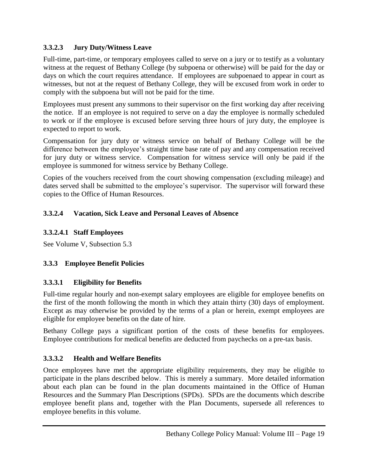#### <span id="page-22-0"></span>**3.3.2.3 Jury Duty/Witness Leave**

Full-time, part-time, or temporary employees called to serve on a jury or to testify as a voluntary witness at the request of Bethany College (by subpoena or otherwise) will be paid for the day or days on which the court requires attendance. If employees are subpoenaed to appear in court as witnesses, but not at the request of Bethany College, they will be excused from work in order to comply with the subpoena but will not be paid for the time.

Employees must present any summons to their supervisor on the first working day after receiving the notice. If an employee is not required to serve on a day the employee is normally scheduled to work or if the employee is excused before serving three hours of jury duty, the employee is expected to report to work.

Compensation for jury duty or witness service on behalf of Bethany College will be the difference between the employee's straight time base rate of pay and any compensation received for jury duty or witness service. Compensation for witness service will only be paid if the employee is summoned for witness service by Bethany College.

Copies of the vouchers received from the court showing compensation (excluding mileage) and dates served shall be submitted to the employee's supervisor. The supervisor will forward these copies to the Office of Human Resources.

#### <span id="page-22-1"></span>**3.3.2.4 Vacation, Sick Leave and Personal Leaves of Absence**

#### <span id="page-22-2"></span>**3.3.2.4.1 Staff Employees**

See Volume V, Subsection 5.3

#### <span id="page-22-3"></span>**3.3.3 Employee Benefit Policies**

#### <span id="page-22-4"></span>**3.3.3.1 Eligibility for Benefits**

Full-time regular hourly and non-exempt salary employees are eligible for employee benefits on the first of the month following the month in which they attain thirty (30) days of employment. Except as may otherwise be provided by the terms of a plan or herein, exempt employees are eligible for employee benefits on the date of hire.

Bethany College pays a significant portion of the costs of these benefits for employees. Employee contributions for medical benefits are deducted from paychecks on a pre-tax basis.

#### <span id="page-22-5"></span>**3.3.3.2 Health and Welfare Benefits**

Once employees have met the appropriate eligibility requirements, they may be eligible to participate in the plans described below. This is merely a summary. More detailed information about each plan can be found in the plan documents maintained in the Office of Human Resources and the Summary Plan Descriptions (SPDs). SPDs are the documents which describe employee benefit plans and, together with the Plan Documents, supersede all references to employee benefits in this volume.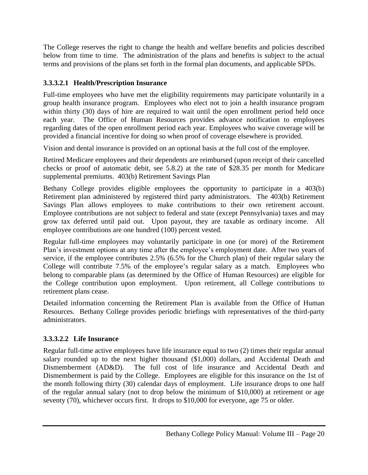The College reserves the right to change the health and welfare benefits and policies described below from time to time. The administration of the plans and benefits is subject to the actual terms and provisions of the plans set forth in the formal plan documents, and applicable SPDs.

# <span id="page-23-0"></span>**3.3.3.2.1 Health/Prescription Insurance**

Full-time employees who have met the eligibility requirements may participate voluntarily in a group health insurance program. Employees who elect not to join a health insurance program within thirty (30) days of hire are required to wait until the open enrollment period held once each year. The Office of Human Resources provides advance notification to employees regarding dates of the open enrollment period each year. Employees who waive coverage will be provided a financial incentive for doing so when proof of coverage elsewhere is provided.

Vision and dental insurance is provided on an optional basis at the full cost of the employee.

Retired Medicare employees and their dependents are reimbursed (upon receipt of their cancelled checks or proof of automatic debit, see 5.8.2) at the rate of \$28.35 per month for Medicare supplemental premiums. 403(b) Retirement Savings Plan

Bethany College provides eligible employees the opportunity to participate in a 403(b) Retirement plan administered by registered third party administrators. The 403(b) Retirement Savings Plan allows employees to make contributions to their own retirement account. Employee contributions are not subject to federal and state (except Pennsylvania) taxes and may grow tax deferred until paid out. Upon payout, they are taxable as ordinary income. All employee contributions are one hundred (100) percent vested.

Regular full-time employees may voluntarily participate in one (or more) of the Retirement Plan's investment options at any time after the employee's employment date. After two years of service, if the employee contributes 2.5% (6.5% for the Church plan) of their regular salary the College will contribute 7.5% of the employee's regular salary as a match. Employees who belong to comparable plans (as determined by the Office of Human Resources) are eligible for the College contribution upon employment. Upon retirement, all College contributions to retirement plans cease.

Detailed information concerning the Retirement Plan is available from the Office of Human Resources. Bethany College provides periodic briefings with representatives of the third-party administrators.

# <span id="page-23-1"></span>**3.3.3.2.2 Life Insurance**

Regular full-time active employees have life insurance equal to two (2) times their regular annual salary rounded up to the next higher thousand (\$1,000) dollars, and Accidental Death and Dismemberment (AD&D). The full cost of life insurance and Accidental Death and Dismemberment is paid by the College. Employees are eligible for this insurance on the 1st of the month following thirty (30) calendar days of employment. Life insurance drops to one half of the regular annual salary (not to drop below the minimum of \$10,000) at retirement or age seventy (70), whichever occurs first. It drops to \$10,000 for everyone, age 75 or older.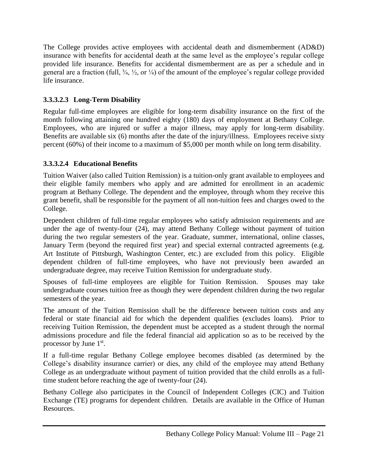The College provides active employees with accidental death and dismemberment (AD&D) insurance with benefits for accidental death at the same level as the employee's regular college provided life insurance. Benefits for accidental dismemberment are as per a schedule and in general are a fraction (full,  $\frac{3}{4}$ ,  $\frac{1}{2}$ , or  $\frac{1}{4}$ ) of the amount of the employee's regular college provided life insurance.

# <span id="page-24-0"></span>**3.3.3.2.3 Long-Term Disability**

Regular full-time employees are eligible for long-term disability insurance on the first of the month following attaining one hundred eighty (180) days of employment at Bethany College. Employees, who are injured or suffer a major illness, may apply for long-term disability. Benefits are available six (6) months after the date of the injury/illness. Employees receive sixty percent (60%) of their income to a maximum of \$5,000 per month while on long term disability.

# <span id="page-24-1"></span>**3.3.3.2.4 Educational Benefits**

Tuition Waiver (also called Tuition Remission) is a tuition-only grant available to employees and their eligible family members who apply and are admitted for enrollment in an academic program at Bethany College. The dependent and the employee, through whom they receive this grant benefit, shall be responsible for the payment of all non-tuition fees and charges owed to the College.

Dependent children of full-time regular employees who satisfy admission requirements and are under the age of twenty-four (24), may attend Bethany College without payment of tuition during the two regular semesters of the year. Graduate, summer, international, online classes, January Term (beyond the required first year) and special external contracted agreements (e.g. Art Institute of Pittsburgh, Washington Center, etc.) are excluded from this policy. Eligible dependent children of full-time employees, who have not previously been awarded an undergraduate degree, may receive Tuition Remission for undergraduate study.

Spouses of full-time employees are eligible for Tuition Remission. Spouses may take undergraduate courses tuition free as though they were dependent children during the two regular semesters of the year.

The amount of the Tuition Remission shall be the difference between tuition costs and any federal or state financial aid for which the dependent qualifies (excludes loans). Prior to receiving Tuition Remission, the dependent must be accepted as a student through the normal admissions procedure and file the federal financial aid application so as to be received by the processor by June 1<sup>st</sup>.

If a full-time regular Bethany College employee becomes disabled (as determined by the College's disability insurance carrier) or dies, any child of the employee may attend Bethany College as an undergraduate without payment of tuition provided that the child enrolls as a fulltime student before reaching the age of twenty-four (24).

Bethany College also participates in the Council of Independent Colleges (CIC) and Tuition Exchange (TE) programs for dependent children. Details are available in the Office of Human Resources.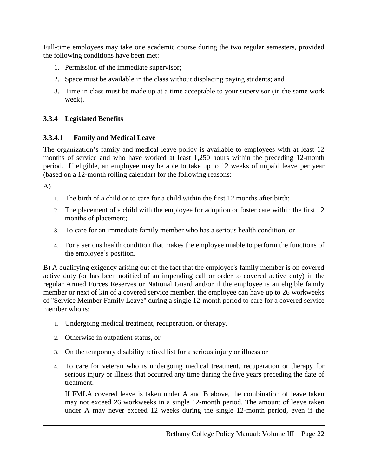Full-time employees may take one academic course during the two regular semesters, provided the following conditions have been met:

- 1. Permission of the immediate supervisor;
- 2. Space must be available in the class without displacing paying students; and
- 3. Time in class must be made up at a time acceptable to your supervisor (in the same work week).

#### <span id="page-25-0"></span>**3.3.4 Legislated Benefits**

#### <span id="page-25-1"></span>**3.3.4.1 Family and Medical Leave**

The organization's family and medical leave policy is available to employees with at least 12 months of service and who have worked at least 1,250 hours within the preceding 12-month period. If eligible, an employee may be able to take up to 12 weeks of unpaid leave per year (based on a 12-month rolling calendar) for the following reasons:

A)

- 1. The birth of a child or to care for a child within the first 12 months after birth;
- 2. The placement of a child with the employee for adoption or foster care within the first 12 months of placement;
- 3. To care for an immediate family member who has a serious health condition; or
- 4. For a serious health condition that makes the employee unable to perform the functions of the employee's position.

B) A qualifying exigency arising out of the fact that the employee's family member is on covered active duty (or has been notified of an impending call or order to covered active duty) in the regular Armed Forces Reserves or National Guard and/or if the employee is an eligible family member or next of kin of a covered service member, the employee can have up to 26 workweeks of "Service Member Family Leave" during a single 12-month period to care for a covered service member who is:

- 1. Undergoing medical treatment, recuperation, or therapy,
- 2. Otherwise in outpatient status, or
- 3. On the temporary disability retired list for a serious injury or illness or
- 4. To care for veteran who is undergoing medical treatment, recuperation or therapy for serious injury or illness that occurred any time during the five years preceding the date of treatment.

If FMLA covered leave is taken under A and B above, the combination of leave taken may not exceed 26 workweeks in a single 12-month period. The amount of leave taken under A may never exceed 12 weeks during the single 12-month period, even if the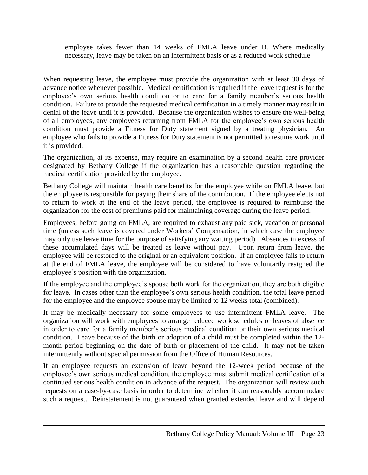employee takes fewer than 14 weeks of FMLA leave under B. Where medically necessary, leave may be taken on an intermittent basis or as a reduced work schedule

When requesting leave, the employee must provide the organization with at least 30 days of advance notice whenever possible. Medical certification is required if the leave request is for the employee's own serious health condition or to care for a family member's serious health condition. Failure to provide the requested medical certification in a timely manner may result in denial of the leave until it is provided. Because the organization wishes to ensure the well-being of all employees, any employees returning from FMLA for the employee's own serious health condition must provide a Fitness for Duty statement signed by a treating physician. An employee who fails to provide a Fitness for Duty statement is not permitted to resume work until it is provided.

The organization, at its expense, may require an examination by a second health care provider designated by Bethany College if the organization has a reasonable question regarding the medical certification provided by the employee.

Bethany College will maintain health care benefits for the employee while on FMLA leave, but the employee is responsible for paying their share of the contribution. If the employee elects not to return to work at the end of the leave period, the employee is required to reimburse the organization for the cost of premiums paid for maintaining coverage during the leave period.

Employees, before going on FMLA, are required to exhaust any paid sick, vacation or personal time (unless such leave is covered under Workers' Compensation, in which case the employee may only use leave time for the purpose of satisfying any waiting period). Absences in excess of these accumulated days will be treated as leave without pay. Upon return from leave, the employee will be restored to the original or an equivalent position. If an employee fails to return at the end of FMLA leave, the employee will be considered to have voluntarily resigned the employee's position with the organization.

If the employee and the employee's spouse both work for the organization, they are both eligible for leave. In cases other than the employee's own serious health condition, the total leave period for the employee and the employee spouse may be limited to 12 weeks total (combined).

It may be medically necessary for some employees to use intermittent FMLA leave. The organization will work with employees to arrange reduced work schedules or leaves of absence in order to care for a family member's serious medical condition or their own serious medical condition. Leave because of the birth or adoption of a child must be completed within the 12 month period beginning on the date of birth or placement of the child. It may not be taken intermittently without special permission from the Office of Human Resources.

If an employee requests an extension of leave beyond the 12-week period because of the employee's own serious medical condition, the employee must submit medical certification of a continued serious health condition in advance of the request. The organization will review such requests on a case-by-case basis in order to determine whether it can reasonably accommodate such a request. Reinstatement is not guaranteed when granted extended leave and will depend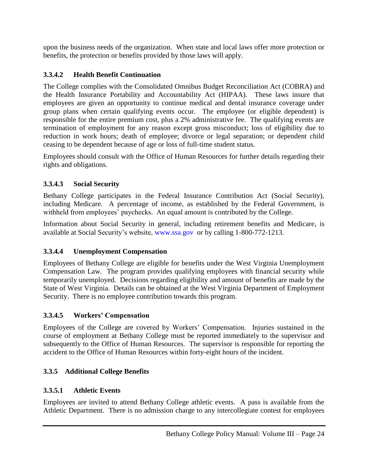upon the business needs of the organization. When state and local laws offer more protection or benefits, the protection or benefits provided by those laws will apply.

#### <span id="page-27-0"></span>**3.3.4.2 Health Benefit Continuation**

The College complies with the Consolidated Omnibus Budget Reconciliation Act (COBRA) and the Health Insurance Portability and Accountability Act (HIPAA). These laws insure that employees are given an opportunity to continue medical and dental insurance coverage under group plans when certain qualifying events occur. The employee (or eligible dependent) is responsible for the entire premium cost, plus a 2% administrative fee. The qualifying events are termination of employment for any reason except gross misconduct; loss of eligibility due to reduction in work hours; death of employee; divorce or legal separation; or dependent child ceasing to be dependent because of age or loss of full-time student status.

Employees should consult with the Office of Human Resources for further details regarding their rights and obligations.

#### <span id="page-27-1"></span>**3.3.4.3 Social Security**

Bethany College participates in the Federal Insurance Contribution Act (Social Security), including Medicare. A percentage of income, as established by the Federal Government, is withheld from employees' paychecks. An equal amount is contributed by the College.

Information about Social Security in general, including retirement benefits and Medicare, is available at Social Security's website, [www.ssa.gov](http://www.ssa.gov/) or by calling 1-800-772-1213.

#### <span id="page-27-2"></span>**3.3.4.4 Unemployment Compensation**

Employees of Bethany College are eligible for benefits under the West Virginia Unemployment Compensation Law. The program provides qualifying employees with financial security while temporarily unemployed. Decisions regarding eligibility and amount of benefits are made by the State of West Virginia.Details can be obtained at the West Virginia Department of Employment Security. There is no employee contribution towards this program.

#### <span id="page-27-3"></span>**3.3.4.5 Workers' Compensation**

Employees of the College are covered by Workers' Compensation. Injuries sustained in the course of employment at Bethany College must be reported immediately to the supervisor and subsequently to the Office of Human Resources. The supervisor is responsible for reporting the accident to the Office of Human Resources within forty-eight hours of the incident.

# <span id="page-27-4"></span>**3.3.5 Additional College Benefits**

# <span id="page-27-5"></span>**3.3.5.1 Athletic Events**

Employees are invited to attend Bethany College athletic events. A pass is available from the Athletic Department. There is no admission charge to any intercollegiate contest for employees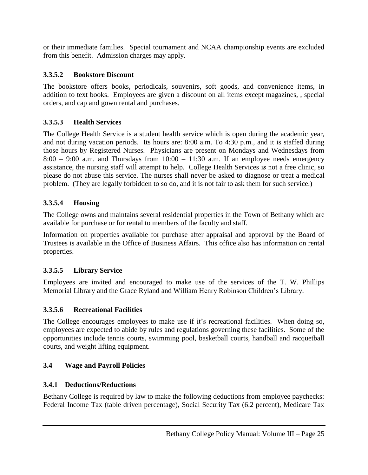or their immediate families. Special tournament and NCAA championship events are excluded from this benefit. Admission charges may apply.

#### <span id="page-28-0"></span>**3.3.5.2 Bookstore Discount**

The bookstore offers books, periodicals, souvenirs, soft goods, and convenience items, in addition to text books. Employees are given a discount on all items except magazines, , special orders, and cap and gown rental and purchases.

# <span id="page-28-1"></span>**3.3.5.3 Health Services**

The College Health Service is a student health service which is open during the academic year, and not during vacation periods. Its hours are: 8:00 a.m. To 4:30 p.m., and it is staffed during those hours by Registered Nurses. Physicians are present on Mondays and Wednesdays from  $8:00 - 9:00$  a.m. and Thursdays from  $10:00 - 11:30$  a.m. If an employee needs emergency assistance, the nursing staff will attempt to help. College Health Services i*s* not a free clinic, so please do not abuse this service. The nurses shall never be asked to diagnose or treat a medical problem. (They are legally forbidden to so do, and it is not fair to ask them for such service.)

# <span id="page-28-2"></span>**3.3.5.4 Housing**

The College owns and maintains several residential properties in the Town of Bethany which are available for purchase or for rental to members of the faculty and staff.

Information on properties available for purchase after appraisal and approval by the Board of Trustees is available in the Office of Business Affairs. This office also has information on rental properties.

# <span id="page-28-3"></span>**3.3.5.5 Library Service**

Employees are invited and encouraged to make use of the services of the T. W. Phillips Memorial Library and the Grace Ryland and William Henry Robinson Children's Library.

# <span id="page-28-4"></span>**3.3.5.6 Recreational Facilities**

The College encourages employees to make use if it's recreational facilities. When doing so, employees are expected to abide by rules and regulations governing these facilities. Some of the opportunities include tennis courts, swimming pool, basketball courts, handball and racquetball courts, and weight lifting equipment.

#### <span id="page-28-5"></span>**3.4 Wage and Payroll Policies**

# <span id="page-28-6"></span>**3.4.1 Deductions/Reductions**

Bethany College is required by law to make the following deductions from employee paychecks: Federal Income Tax (table driven percentage), Social Security Tax (6.2 percent), Medicare Tax